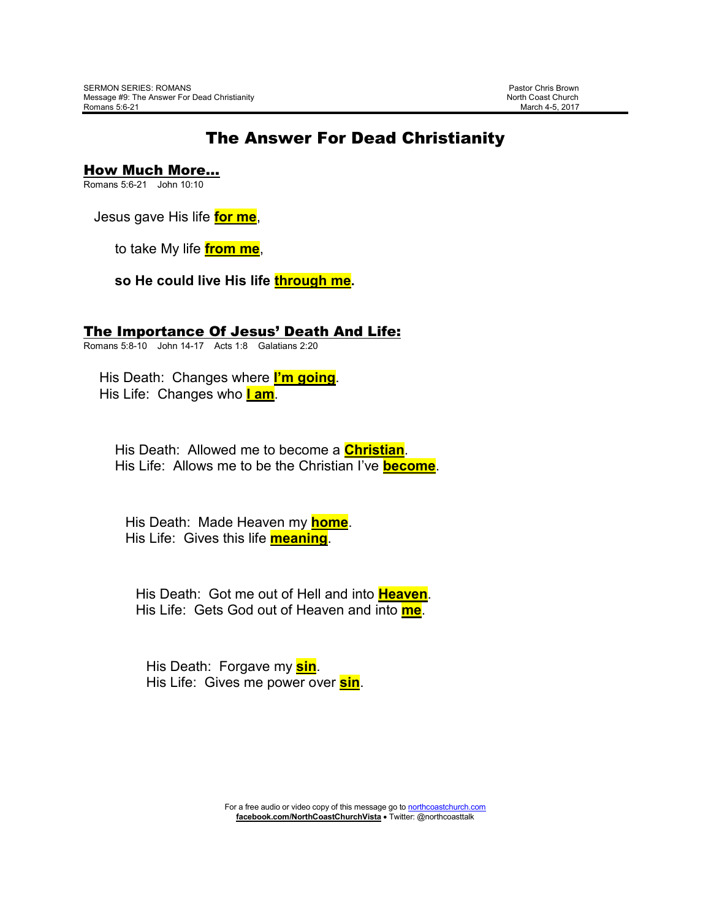## The Answer For Dead Christianity

How Much More…

Romans 5:6-21 John 10:10

Jesus gave His life **for me**,

to take My life **from me**,

**so He could live His life through me.** 

## The Importance Of Jesus' Death And Life:

Romans 5:8-10 John 14-17 Acts 1:8 Galatians 2:20

 His Death: Changes where **I'm going**. His Life: Changes who **I am**.

 His Death: Allowed me to become a **Christian**. His Life: Allows me to be the Christian I've **become**.

 His Death: Made Heaven my **home**. His Life: Gives this life **meaning**.

 His Death: Got me out of Hell and into **Heaven**. His Life: Gets God out of Heaven and into **me**.

 His Death: Forgave my **sin**. His Life: Gives me power over **sin**.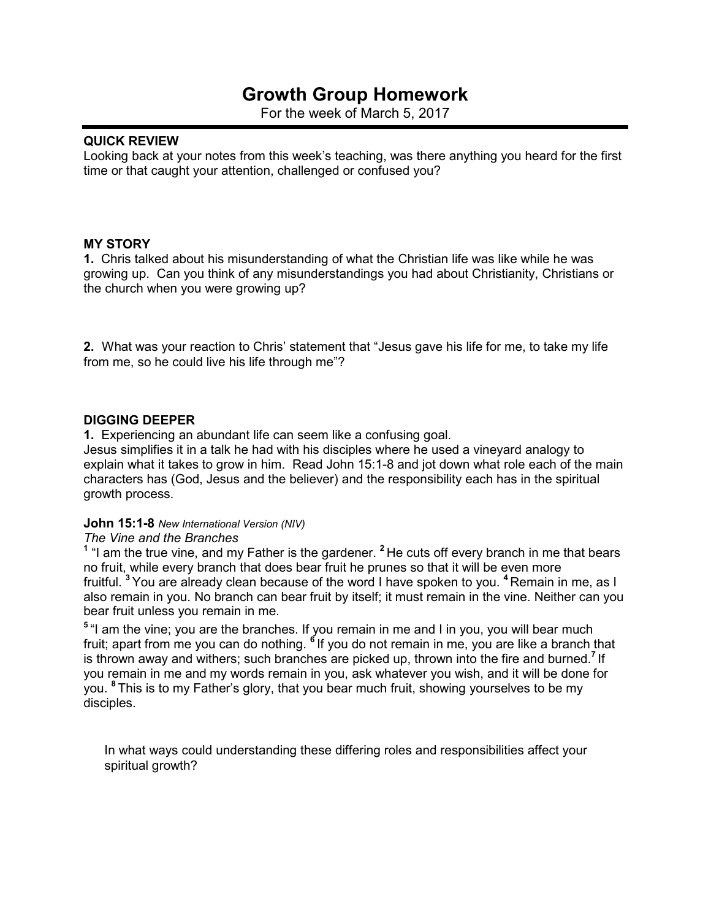# **Growth Group Homework**

For the week of March 5, 2017

#### **QUICK REVIEW**

Looking back at your notes from this week's teaching, was there anything you heard for the first time or that caught your attention, challenged or confused you?

#### **MY STORY**

**1.** Chris talked about his misunderstanding of what the Christian life was like while he was growing up. Can you think of any misunderstandings you had about Christianity, Christians or the church when you were growing up?

**2.** What was your reaction to Chris' statement that "Jesus gave his life for me, to take my life from me, so he could live his life through me"?

#### **DIGGING DEEPER**

**1.** Experiencing an abundant life can seem like a confusing goal.

Jesus simplifies it in a talk he had with his disciples where he used a vineyard analogy to explain what it takes to grow in him. Read John 15:1-8 and jot down what role each of the main characters has (God, Jesus and the believer) and the responsibility each has in the spiritual growth process.

#### **John 15:1-8** *New International Version (NIV)*

#### *The Vine and the Branches*

**1** "I am the true vine, and my Father is the gardener. **<sup>2</sup>**He cuts off every branch in me that bears no fruit, while every branch that does bear fruit he prunes so that it will be even more fruitful. **<sup>3</sup>**You are already clean because of the word I have spoken to you. **<sup>4</sup>**Remain in me, as I also remain in you. No branch can bear fruit by itself; it must remain in the vine. Neither can you bear fruit unless you remain in me.

<sup>5</sup> "I am the vine; you are the branches. If you remain in me and I in you, you will bear much fruit; apart from me you can do nothing. **<sup>6</sup>**If you do not remain in me, you are like a branch that is thrown away and withers; such branches are picked up, thrown into the fire and burned.**<sup>7</sup>**If you remain in me and my words remain in you, ask whatever you wish, and it will be done for you. **<sup>8</sup>**This is to my Father's glory, that you bear much fruit, showing yourselves to be my disciples.

In what ways could understanding these differing roles and responsibilities affect your spiritual growth?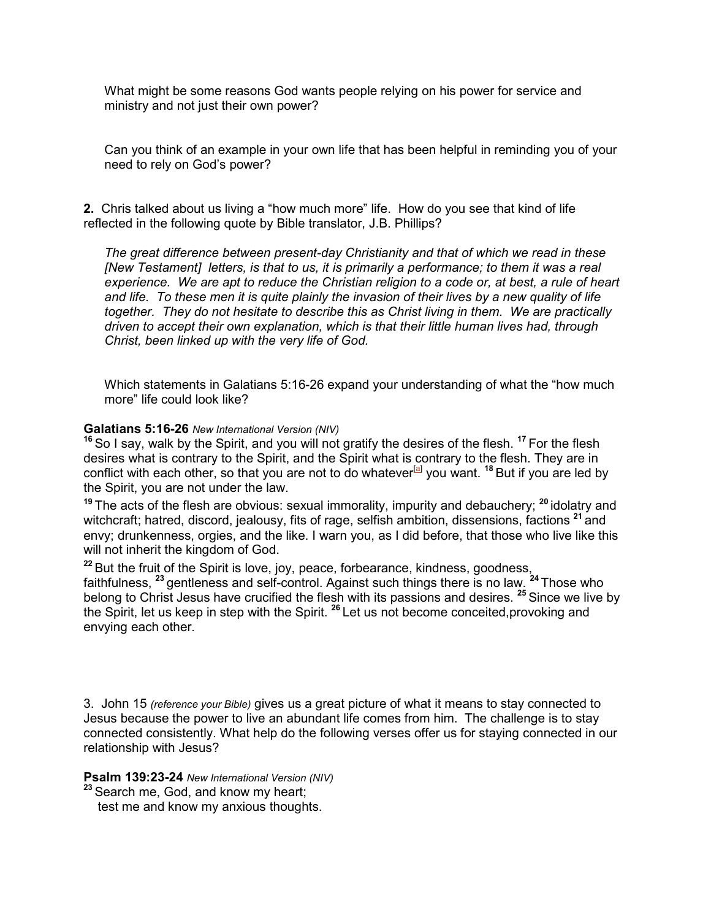What might be some reasons God wants people relying on his power for service and ministry and not just their own power?

Can you think of an example in your own life that has been helpful in reminding you of your need to rely on God's power?

**2.** Chris talked about us living a "how much more" life. How do you see that kind of life reflected in the following quote by Bible translator, J.B. Phillips?

*The great difference between present-day Christianity and that of which we read in these [New Testament] letters, is that to us, it is primarily a performance; to them it was a real experience. We are apt to reduce the Christian religion to a code or, at best, a rule of heart and life. To these men it is quite plainly the invasion of their lives by a new quality of life together. They do not hesitate to describe this as Christ living in them. We are practically driven to accept their own explanation, which is that their little human lives had, through Christ, been linked up with the very life of God.*

Which statements in Galatians 5:16-26 expand your understanding of what the "how much more" life could look like?

#### **Galatians 5:16-26** *New International Version (NIV)*

**<sup>16</sup>**So I say, walk by the Spirit, and you will not gratify the desires of the flesh. **<sup>17</sup>**For the flesh desires what is contrary to the Spirit, and the Spirit what is contrary to the flesh. They are in conflict with each other, so that you are not to do whatever<sup>[a]</sup> you want. <sup>18</sup> But if you are led by the Spirit, you are not under the law.

**<sup>19</sup>**The acts of the flesh are obvious: sexual immorality, impurity and debauchery; **<sup>20</sup>**idolatry and witchcraft; hatred, discord, jealousy, fits of rage, selfish ambition, dissensions, factions **<sup>21</sup>**and envy; drunkenness, orgies, and the like. I warn you, as I did before, that those who live like this will not inherit the kingdom of God.

**<sup>22</sup>**But the fruit of the Spirit is love, joy, peace, forbearance, kindness, goodness, faithfulness, **<sup>23</sup>**gentleness and self-control. Against such things there is no law. **<sup>24</sup>**Those who belong to Christ Jesus have crucified the flesh with its passions and desires. **<sup>25</sup>**Since we live by the Spirit, let us keep in step with the Spirit. **<sup>26</sup>**Let us not become conceited,provoking and envying each other.

3.John 15 *(reference your Bible)* gives us a great picture of what it means to stay connected to Jesus because the power to live an abundant life comes from him. The challenge is to stay connected consistently. What help do the following verses offer us for staying connected in our relationship with Jesus?

#### **Psalm 139:23-24** *New International Version (NIV)*

**<sup>23</sup>**Search me, God, and know my heart; test me and know my anxious thoughts.